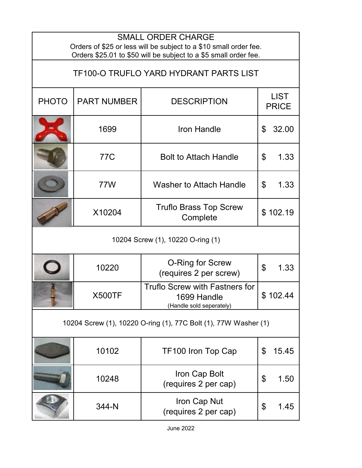| <b>SMALL ORDER CHARGE</b><br>Orders of \$25 or less will be subject to a \$10 small order fee.                    |                    |                                                                                  |                                   |  |  |  |
|-------------------------------------------------------------------------------------------------------------------|--------------------|----------------------------------------------------------------------------------|-----------------------------------|--|--|--|
| Orders \$25.01 to \$50 will be subject to a \$5 small order fee.<br><b>TF100-O TRUFLO YARD HYDRANT PARTS LIST</b> |                    |                                                                                  |                                   |  |  |  |
| <b>PHOTO</b>                                                                                                      | <b>PART NUMBER</b> | <b>DESCRIPTION</b>                                                               | <b>LIST</b><br><b>PRICE</b>       |  |  |  |
|                                                                                                                   | 1699               | <b>Iron Handle</b>                                                               | $\mathfrak{L}$<br>32.00           |  |  |  |
|                                                                                                                   | 77C                | <b>Bolt to Attach Handle</b>                                                     | 1.33<br>\$                        |  |  |  |
|                                                                                                                   | 77W                | <b>Washer to Attach Handle</b>                                                   | \$<br>1.33                        |  |  |  |
|                                                                                                                   | X10204             | <b>Truflo Brass Top Screw</b><br>Complete                                        | \$102.19                          |  |  |  |
| 10204 Screw (1), 10220 O-ring (1)                                                                                 |                    |                                                                                  |                                   |  |  |  |
|                                                                                                                   | 10220              | <b>O-Ring for Screw</b><br>(requires 2 per screw)                                | $\boldsymbol{\mathsf{S}}$<br>1.33 |  |  |  |
|                                                                                                                   | <b>X500TF</b>      | <b>Truflo Screw with Fastners for</b><br>1699 Handle<br>(Handle sold seperately) | \$102.44                          |  |  |  |
| 10204 Screw (1), 10220 O-ring (1), 77C Bolt (1), 77W Washer (1)                                                   |                    |                                                                                  |                                   |  |  |  |
|                                                                                                                   | 10102              | TF100 Iron Top Cap                                                               | \$<br>15.45                       |  |  |  |
| minera professor                                                                                                  | 10248              | Iron Cap Bolt<br>(requires 2 per cap)                                            | \$<br>1.50                        |  |  |  |
|                                                                                                                   | 344-N              | Iron Cap Nut<br>(requires 2 per cap)                                             | \$<br>1.45                        |  |  |  |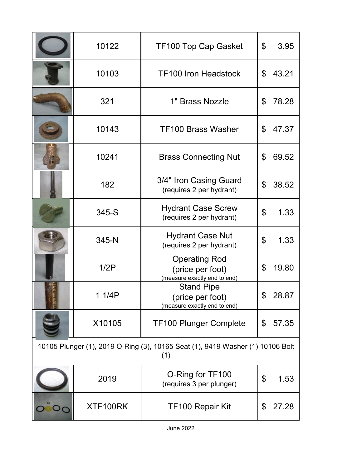|                                                                                       | 10122    | <b>TF100 Top Cap Gasket</b>                                              | \$             | 3.95  |  |  |
|---------------------------------------------------------------------------------------|----------|--------------------------------------------------------------------------|----------------|-------|--|--|
|                                                                                       | 10103    | <b>TF100 Iron Headstock</b>                                              | \$             | 43.21 |  |  |
|                                                                                       | 321      | 1" Brass Nozzle                                                          | \$             | 78.28 |  |  |
|                                                                                       | 10143    | <b>TF100 Brass Washer</b>                                                | \$             | 47.37 |  |  |
| $\mathbf{h}$                                                                          | 10241    | <b>Brass Connecting Nut</b>                                              | \$             | 69.52 |  |  |
|                                                                                       | 182      | 3/4" Iron Casing Guard<br>(requires 2 per hydrant)                       | $\mathfrak{L}$ | 38.52 |  |  |
|                                                                                       | 345-S    | <b>Hydrant Case Screw</b><br>(requires 2 per hydrant)                    | \$             | 1.33  |  |  |
|                                                                                       | 345-N    | <b>Hydrant Case Nut</b><br>(requires 2 per hydrant)                      | \$             | 1.33  |  |  |
|                                                                                       | 1/2P     | <b>Operating Rod</b><br>(price per foot)<br>(measure exactly end to end) | \$             | 19.80 |  |  |
|                                                                                       | 1 1/4P   | <b>Stand Pipe</b><br>(price per foot)<br>(measure exactly end to end)    | \$             | 28.87 |  |  |
|                                                                                       | X10105   | <b>TF100 Plunger Complete</b>                                            | \$             | 57.35 |  |  |
| 10105 Plunger (1), 2019 O-Ring (3), 10165 Seat (1), 9419 Washer (1) 10106 Bolt<br>(1) |          |                                                                          |                |       |  |  |
|                                                                                       | 2019     | O-Ring for TF100<br>(requires 3 per plunger)                             | \$             | 1.53  |  |  |
|                                                                                       | XTF100RK | <b>TF100 Repair Kit</b>                                                  | \$             | 27.28 |  |  |